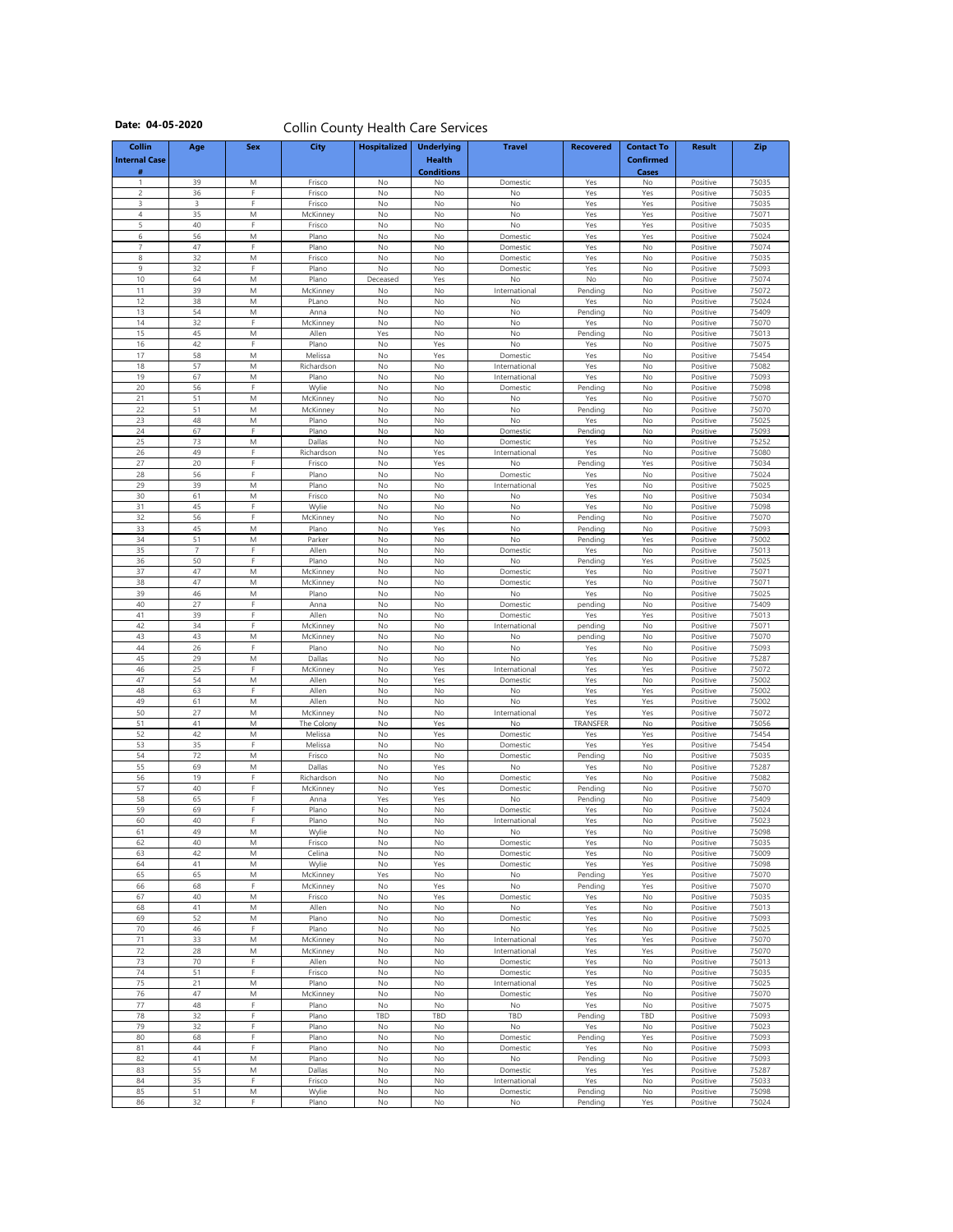|                                            |                      |                                                                                                                  | COIIIII COUITY HEAITH CATE SEIVICES |                     |                                                         |                                |                  |                                                       |                      |                |
|--------------------------------------------|----------------------|------------------------------------------------------------------------------------------------------------------|-------------------------------------|---------------------|---------------------------------------------------------|--------------------------------|------------------|-------------------------------------------------------|----------------------|----------------|
| <b>Collin</b><br><b>Internal Case</b><br># | Age                  | <b>Sex</b>                                                                                                       | <b>City</b>                         | <b>Hospitalized</b> | <b>Underlying</b><br><b>Health</b><br><b>Conditions</b> | <b>Travel</b>                  | <b>Recovered</b> | <b>Contact To</b><br><b>Confirmed</b><br><b>Cases</b> | <b>Result</b>        | <b>Zip</b>     |
|                                            | 39                   | M                                                                                                                | Frisco                              | No                  | No                                                      | Domestic                       | Yes              | No                                                    | Positive             | 75035          |
| $\overline{2}$<br>3                        | 36<br>3              | F.<br>E.                                                                                                         | Frisco<br>Frisco                    | No<br>No            | No<br>No                                                | No<br>No                       | Yes<br>Yes       | Yes<br>Yes                                            | Positive<br>Positive | 75035<br>75035 |
| 4                                          | 35                   | M                                                                                                                | McKinney                            | No                  | No                                                      | No                             | Yes              | Yes                                                   | Positive             | 75071          |
| 5                                          | 40                   | Е                                                                                                                | Frisco                              | No                  | No                                                      | No                             | Yes              | Yes                                                   | Positive             | 75035          |
| 6<br>$\overline{7}$                        | 56<br>47             | M<br>F.                                                                                                          | Plano<br>Plano                      | No<br>No            | No<br>No                                                | Domestic<br>Domestic           | Yes<br>Yes       | Yes<br>No                                             | Positive<br>Positive | 75024<br>75074 |
| 8                                          | 32                   | M                                                                                                                | Frisco                              | No                  | No                                                      | Domestic                       | Yes              | No                                                    | Positive             | 75035          |
| 9                                          | 32                   | F.                                                                                                               | Plano                               | <b>No</b>           | No                                                      | Domestic                       | Yes              | No                                                    | Positive             | 75093          |
| 10<br>11                                   | 64<br>39             | M<br>M                                                                                                           | Plano<br>McKinney                   | Deceased<br>No      | Yes<br>No                                               | No<br>International            | No<br>Pending    | No<br>No                                              | Positive<br>Positive | 75074<br>75072 |
| 12                                         | 38                   | M                                                                                                                | PLano                               | No                  | No                                                      | No                             | Yes              | No                                                    | Positive             | 75024          |
| 13                                         | 54                   | M                                                                                                                | Anna                                | No                  | No                                                      | No                             | Pending          | No                                                    | Positive             | 75409          |
| 14<br>15                                   | 32<br>45             | F.<br>M                                                                                                          | McKinney<br>Allen                   | No<br>Yes           | No<br>No                                                | No<br>No                       | Yes<br>Pending   | No<br>No                                              | Positive<br>Positive | 75070<br>75013 |
| 16                                         | 42                   | F                                                                                                                | Plano                               | No                  | Yes                                                     | No                             | Yes              | No                                                    | Positive             | 75075          |
| 17                                         | 58                   | M                                                                                                                | Melissa                             | No                  | Yes                                                     | Domestic                       | Yes              | No                                                    | Positive             | 75454          |
| 18<br>19                                   | 57<br>67             | M<br>M                                                                                                           | Richardson<br>Plano                 | No<br>No            | No<br>No                                                | International<br>International | Yes<br>Yes       | No<br>No                                              | Positive<br>Positive | 75082<br>75093 |
| 20                                         | 56                   | F                                                                                                                | Wylie                               | No                  | No                                                      | Domestic                       | Pending          | No                                                    | Positive             | 75098          |
| 21                                         | 51                   | M                                                                                                                | McKinney                            | No                  | No                                                      | No                             | Yes              | No                                                    | Positive             | 75070          |
| 22<br>23                                   | 51<br>48             | M<br>M                                                                                                           | McKinney<br>Plano                   | No<br>No            | No<br>No                                                | No<br>No                       | Pending<br>Yes   | No<br>No                                              | Positive<br>Positive | 75070<br>75025 |
| 24                                         | 67                   | F.                                                                                                               | Plano                               | No                  | No                                                      | Domestic                       | Pending          | No                                                    | Positive             | 75093          |
| 25                                         | 73                   | M                                                                                                                | Dallas                              | No                  | No                                                      | Domestic                       | Yes              | No                                                    | Positive             | 75252          |
| 26<br>27                                   | 49<br>20             | F<br>п.                                                                                                          | Richardson<br>Frisco                | No<br>No            | Yes<br>Yes                                              | International                  | Yes<br>Pending   | No<br>Yes                                             | Positive<br>Positive | 75080<br>75034 |
| 28                                         | 56                   | Е                                                                                                                | Plano                               | No                  | No                                                      | No<br>Domestic                 | Yes              | No                                                    | Positive             | 75024          |
| 29                                         | 39                   | ${\sf M}$                                                                                                        | Plano                               | No                  | No                                                      | International                  | Yes              | No                                                    | Positive             | 75025          |
| 30                                         | 61                   | M<br>F                                                                                                           | Frisco                              | No                  | No                                                      | No                             | Yes              | No                                                    | Positive             | 75034          |
| 31<br>32                                   | 45<br>56             | Е                                                                                                                | Wylie<br>McKinney                   | No<br>No            | No<br>No                                                | No<br>No                       | Yes<br>Pending   | No<br>No                                              | Positive<br>Positive | 75098<br>75070 |
| 33                                         | 45                   | M                                                                                                                | Plano                               | No                  | Yes                                                     | No                             | Pending          | No                                                    | Positive             | 75093          |
| 34                                         | 51                   | $\mathsf{M}% _{T}=\mathsf{M}_{T}\!\left( a,b\right) ,\ \mathsf{M}_{T}=\mathsf{M}_{T}\!\left( a,b\right) ,$       | Parker                              | No                  | No                                                      | No                             | Pending          | Yes                                                   | Positive             | 75002          |
| 35<br>36                                   | $\overline{7}$<br>50 | F.                                                                                                               | Allen<br>Plano                      | No<br>No            | No<br>No                                                | Domestic<br>No                 | Yes<br>Pending   | No<br>Yes                                             | Positive<br>Positive | 75013<br>75025 |
| 37                                         | 47                   | $\mathsf{M}% _{T}=\mathsf{M}_{T}\!\left( a,b\right) ,\ \mathsf{M}_{T}=\mathsf{M}_{T}\!\left( a,b\right) ,$       | McKinney                            | No                  | No                                                      | Domestic                       | Yes              | No                                                    | Positive             | 75071          |
| 38                                         | 47                   | M                                                                                                                | McKinney                            | No                  | No                                                      | Domestic                       | Yes              | No                                                    | Positive             | 75071          |
| 39                                         | 46                   | M                                                                                                                | Plano                               | No                  | No                                                      | No                             | Yes              | No                                                    | Positive             | 75025          |
| 40<br>41                                   | 27<br>39             | E.                                                                                                               | Anna<br>Allen                       | No<br>No            | No<br>No                                                | Domestic<br>Domestic           | pending<br>Yes   | No<br>Yes                                             | Positive<br>Positive | 75409<br>75013 |
| 42                                         | 34                   | E                                                                                                                | McKinney                            | No                  | No                                                      | International                  | pending          | No                                                    | Positive             | 75071          |
| 43                                         | 43                   | ${\sf M}$                                                                                                        | McKinney                            | No                  | No                                                      | No                             | pending          | No                                                    | Positive             | 75070          |
| 44<br>45                                   | 26<br>29             | E.<br>M                                                                                                          | Plano<br>Dallas                     | No<br>No            | No<br>No                                                | No<br>No                       | Yes<br>Yes       | No<br>No                                              | Positive<br>Positive | 75093<br>75287 |
| 46                                         | 25                   | E.                                                                                                               | McKinney                            | No                  | Yes                                                     | International                  | Yes              | Yes                                                   | Positive             | 75072          |
| 47                                         | 54                   | $\mathsf{M}% _{T}=\mathsf{M}_{T}\!\left( a,b\right) ,\ \mathsf{M}_{T}=\mathsf{M}_{T}\!\left( a,b\right) ,$       | Allen                               | No                  | Yes                                                     | Domestic                       | Yes              | No                                                    | Positive             | 75002          |
| 48<br>49                                   | 63<br>61             | F.<br>$\mathsf{M}% _{T}=\mathsf{M}_{T}\!\left( a,b\right) ,\ \mathsf{M}_{T}=\mathsf{M}_{T}\!\left( a,b\right) ,$ | Allen<br>Allen                      | No<br>No            | No<br>No                                                | No<br>No                       | Yes<br>Yes       | Yes<br>Yes                                            | Positive<br>Positive | 75002<br>75002 |
| 50                                         | 27                   | $\mathsf{M}% _{T}=\mathsf{M}_{T}\!\left( a,b\right) ,\ \mathsf{M}_{T}=\mathsf{M}_{T}\!\left( a,b\right) ,$       | McKinney                            | No                  | No                                                      | International                  | Yes              | Yes                                                   | Positive             | 75072          |
| 51                                         | 41                   | $\mathsf{M}% _{T}=\mathsf{M}_{T}\!\left( a,b\right) ,\ \mathsf{M}_{T}=\mathsf{M}_{T}\!\left( a,b\right) ,$       | The Colony                          | No                  | Yes                                                     | No                             | TRANSFER         | No                                                    | Positive             | 75056          |
| 52<br>53                                   | 42<br>35             | $\mathsf{M}% _{T}=\mathsf{M}_{T}\!\left( a,b\right) ,\ \mathsf{M}_{T}=\mathsf{M}_{T}\!\left( a,b\right) ,$<br>E. | Melissa<br>Melissa                  | No<br>No            | Yes<br>No                                               | Domestic<br>Domestic           | Yes<br>Yes       | Yes<br>Yes                                            | Positive<br>Positive | 75454<br>75454 |
| 54                                         | $72$                 | M                                                                                                                | Frisco                              | No                  | No                                                      | Domestic                       | Pending          | No                                                    | Positive             | 75035          |
| 55                                         | 69                   | M                                                                                                                | Dallas                              | No                  | Yes                                                     | No                             | Yes              | No                                                    | Positive             | 75287          |
| 56<br>57                                   | 19<br>$40\,$         | F<br>F.                                                                                                          | Richardson<br>McKinney              | No<br>No            | No<br>Yes                                               | Domestic<br>Domestic           | Yes<br>Pending   | No<br>No                                              | Positive<br>Positive | 75082<br>75070 |
| 58                                         | 65                   | F                                                                                                                | Anna                                | Yes                 | Yes                                                     | No                             | Pending          | No                                                    | Positive             | 75409          |
| 59                                         | 69                   | F                                                                                                                | Plano                               | No                  | No                                                      | Domestic                       | Yes              | No                                                    | Positive             | 75024          |
| 60<br>61                                   | 40<br>49             | F.<br>M                                                                                                          | Plano<br>Wylie                      | No<br>No            | No<br>No                                                | International<br>No            | Yes<br>Yes       | No<br>No                                              | Positive<br>Positive | 75023<br>75098 |
| 62                                         | 40                   | M                                                                                                                | Frisco                              | No                  | No                                                      | Domestic                       | Yes              | No                                                    | Positive             | 75035          |
| 63                                         | 42                   | M                                                                                                                | Celina                              | No                  | No                                                      | Domestic                       | Yes              | No                                                    | Positive             | 75009          |
| 64<br>65                                   | 41<br>65             | M<br>M                                                                                                           | Wylie<br>McKinney                   | No<br>Yes           | Yes<br>No                                               | Domestic<br>No                 | Yes<br>Pending   | Yes<br>Yes                                            | Positive<br>Positive | 75098<br>75070 |
| 66                                         | 68                   | F                                                                                                                | McKinney                            | No                  | Yes                                                     | No                             | Pending          | Yes                                                   | Positive             | 75070          |
| 67                                         | 40                   | M                                                                                                                | Frisco                              | No                  | Yes                                                     | Domestic                       | Yes              | No                                                    | Positive             | 75035          |
| 68                                         | 41                   | M                                                                                                                | Allen                               | No                  | No                                                      | No                             | Yes              | No                                                    | Positive             | 75013          |
| 69<br>70                                   | 52<br>46             | M<br>E                                                                                                           | Plano<br>Plano                      | No<br><b>No</b>     | No<br>No                                                | Domestic<br>No                 | Yes<br>Yes       | No<br>No                                              | Positive<br>Positive | 75093<br>75025 |
| 71                                         | 33                   | M                                                                                                                | McKinney                            | No                  | No                                                      | International                  | Yes              | Yes                                                   | Positive             | 75070          |
| 72                                         | 28                   | M                                                                                                                | McKinney                            | No                  | No                                                      | International                  | Yes              | Yes                                                   | Positive             | 75070          |
| 73<br>74                                   | 70<br>51             | F.<br>F.                                                                                                         | Allen<br>Frisco                     | No<br>No            | No<br>No                                                | Domestic<br>Domestic           | Yes<br>Yes       | No<br>No                                              | Positive<br>Positive | 75013<br>75035 |
| 75                                         | 21                   | M                                                                                                                | Plano                               | No                  | No                                                      | International                  | Yes              | No                                                    | Positive             | 75025          |
| 76                                         | 47                   | M                                                                                                                | McKinney                            | No                  | No                                                      | Domestic                       | Yes              | No                                                    | Positive             | 75070          |
| 77<br>78                                   | 48<br>32             | F.<br>F.                                                                                                         | Plano<br>Plano                      | No<br>TBD           | No<br><b>TBD</b>                                        | No<br>TBD                      | Yes              | No<br>TBD                                             | Positive             | 75075          |
| 79                                         | 32                   | F.                                                                                                               | Plano                               | No                  | No                                                      | No                             | Pending<br>Yes   | No                                                    | Positive<br>Positive | 75093<br>75023 |
| 80                                         | 68                   | F.                                                                                                               | Plano                               | No                  | No                                                      | Domestic                       | Pending          | Yes                                                   | Positive             | 75093          |
| 81                                         | 44                   | F.                                                                                                               | Plano                               | No                  | No                                                      | Domestic                       | Yes              | No                                                    | Positive             | 75093          |
| 82<br>83                                   | 41<br>55             | M<br>M                                                                                                           | Plano<br>Dallas                     | No<br>No            | No<br>No                                                | No<br>Domestic                 | Pending<br>Yes   | No<br>Yes                                             | Positive<br>Positive | 75093<br>75287 |
| 84                                         | 35                   | F.                                                                                                               | Frisco                              | No                  | No                                                      | International                  | Yes              | No                                                    | Positive             | 75033          |
| 85                                         | 51                   | M                                                                                                                | Wylie                               | No                  | No                                                      | Domestic                       | Pending          | No                                                    | Positive             | 75098          |
| 86                                         | 32                   | F                                                                                                                | Plano                               | No                  | No                                                      | No                             | Pending          | Yes                                                   | Positive             | 75024          |

## **Date: 04-05-2020** Collin County Health Care Services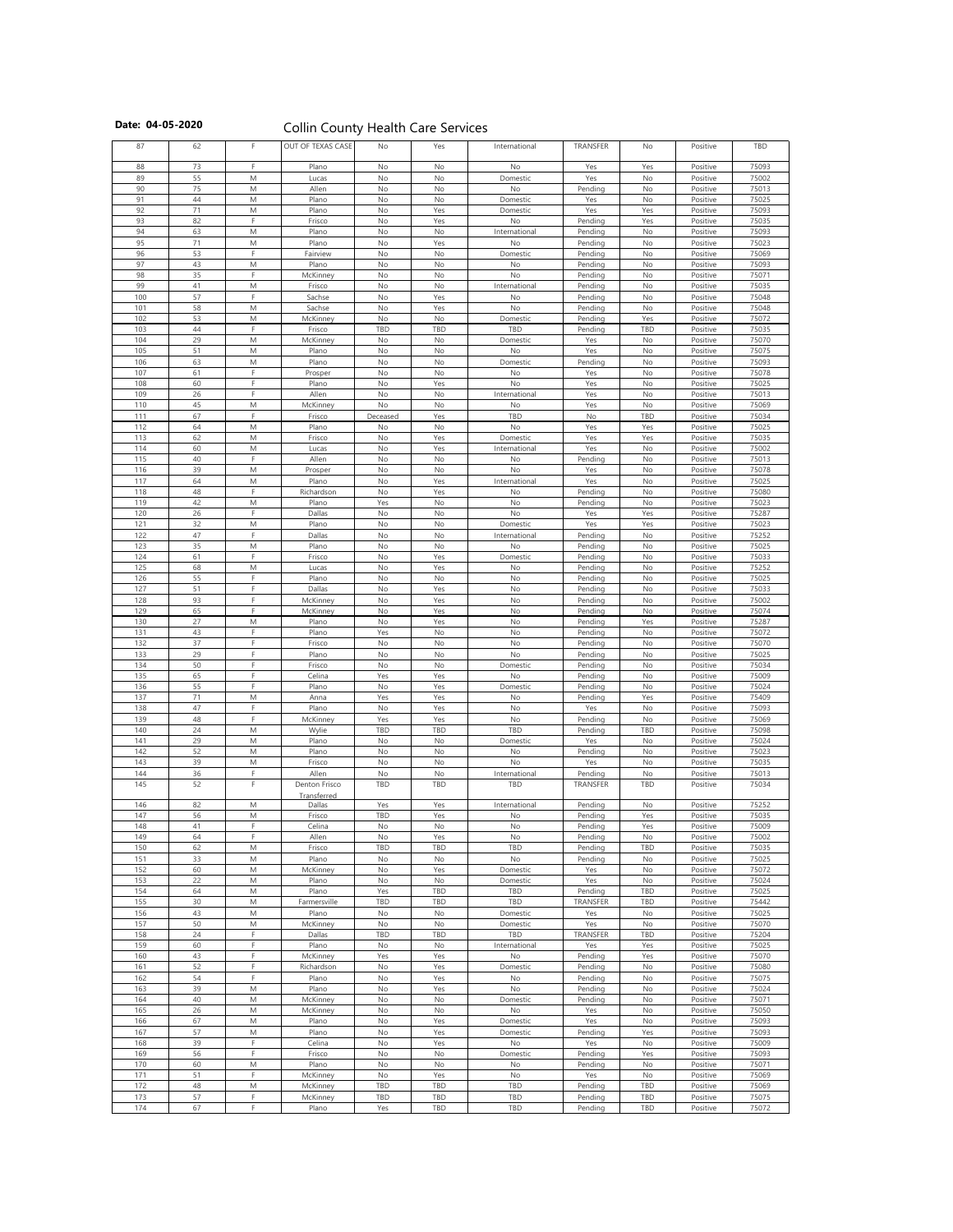|  |  | Date: 04-05-2020 |
|--|--|------------------|
|--|--|------------------|

**Collin County Health Care Services** 

| 87         | 62       |                | OUT OF TEXAS CASE | No              | Yes        | International        | TRANSFER           | No         | Positive             | TBD            |
|------------|----------|----------------|-------------------|-----------------|------------|----------------------|--------------------|------------|----------------------|----------------|
|            |          |                |                   |                 |            |                      |                    |            |                      |                |
| 88         | 73       | F.             | Plano             | No              | No         | No                   | Yes                | Yes        | Positive             | 75093          |
| 89         | 55       | M              | Lucas             | No              | No         | Domestic             | Yes                | No         | Positive             | 75002          |
| 90         | 75       | M              | Allen             | No              | No         | No                   | Pending            | No         | Positive             | 75013          |
| 91<br>92   | 44<br>71 | M<br>M         | Plano<br>Plano    | No<br>No        | No<br>Yes  | Domestic<br>Domestic | Yes<br>Yes         | No<br>Yes  | Positive<br>Positive | 75025<br>75093 |
| 93         | 82       | Е              | Frisco            | No              | Yes        | No                   | Pending            | Yes        | Positive             | 75035          |
| 94         | 63       | M              | Plano             | No              | No         | International        | Pending            | No         | Positive             | 75093          |
| 95         | 71       | M              | Plano             | No              | Yes        | No                   | Pending            | No         | Positive             | 75023          |
| 96         | 53       | E.             | Fairview          | <b>No</b>       | No         | Domestic             | Pending            | No         | Positive             | 75069          |
| 97         | 43       | M              | Plano             | No              | No         | No                   | Pending            | No         | Positive             | 75093          |
| 98         | 35       | Е              | McKinney          | No              | No         | No                   | Pending            | No         | Positive             | 75071          |
| 99         | 41       | M              | Frisco            | No              | No         | International        | Pending            | No         | Positive             | 75035          |
| 100        | 57       | F              | Sachse            | No              | Yes        | No                   | Pending            | No         | Positive             | 75048          |
| 101        | 58       | M              | Sachse            | No              | Yes        | No                   | Pending            | No         | Positive             | 75048          |
| 102        | 53       | M              | McKinney          | No              | No         | Domestic             | Pending            | Yes        | Positive             | 75072          |
| 103        | 44       | F.             | Frisco            | <b>TBD</b>      | TBD        | TBD                  | Pending            | TBD        | Positive             | 75035          |
| 104        | 29       | M              | McKinney          | No              | No         | Domestic             | Yes                | No         | Positive             | 75070          |
| 105        | 51       | M              | Plano             | No              | No         | No                   | Yes                | No         | Positive             | 75075          |
| 106        | 63       | M              | Plano             | No              | No         | Domestic             | Pending            | No         | Positive             | 75093          |
| 107        | 61       |                | Prosper           | No              | No         | No                   | Yes                | No         | Positive             | 75078          |
| 108        | 60       | E.             | Plano             | <b>No</b>       | Yes        | No                   | Yes                | No         | Positive             | 75025          |
| 109        | 26       | E.             | Allen             | No              | No         | International        | Yes                | No         | Positive             | 75013          |
| 110        | 45       | M              | McKinney          | No              | No         | No                   | Yes                | No         | Positive             | 75069          |
| 111        | 67       | E.             | Frisco            | Deceased        | Yes        | TBD                  | No                 | TBD        | Positive             | 75034          |
| 112        | 64       | M              | Plano             | No              | No         | No                   | Yes                | Yes        | Positive             | 75025          |
| 113        | 62       | M              | Frisco            | No              | Yes        | Domestic             | Yes                | Yes        | Positive             | 75035          |
| 114        | 60       | M              | Lucas             | No              | Yes        | International        | Yes                | No         | Positive             | 75002          |
| 115        | 40       | F              | Allen             | No              | No         | No                   | Pending            | No         | Positive             | 75013          |
| 116<br>117 | 39<br>64 | M<br>M         | Prosper<br>Plano  | No<br>No        | No<br>Yes  | No                   | Yes<br>Yes         | No<br>No   | Positive<br>Positive | 75078<br>75025 |
| 118        | 48       |                | Richardson        | <b>No</b>       | Yes        | International<br>No  | Pending            | No         | Positive             | 75080          |
| 119        | 42       | M              | Plano             | Yes             | No         | No                   | Pending            | No         | Positive             | 75023          |
| 120        | 26       | E.             | Dallas            | No              | No         | No                   | Yes                | Yes        | Positive             | 75287          |
| 121        | 32       | M              | Plano             | <b>No</b>       | No         | Domestic             | Yes                | Yes        | Positive             | 75023          |
| 122        | 47       | E.             | Dallas            | No              | No         | International        | Pending            | No         | Positive             | 75252          |
| 123        | 35       | M              | Plano             | No              | No         | No                   | Pending            | No         | Positive             | 75025          |
| 124        | 61       |                | Frisco            | No              | Yes        | Domestic             | Pending            | No         | Positive             | 75033          |
| 125        | 68       | M              | Lucas             | No              | Yes        | No                   | Pending            | No         | Positive             | 75252          |
| 126        | 55       | E              | Plano             | No              | No         | No                   | Pending            | No         | Positive             | 75025          |
| 127        | 51       | E              | Dallas            | <b>No</b>       | Yes        | No                   | Pending            | No         | Positive             | 75033          |
| 128        | 93       | D.             | McKinney          | No              | Yes        | No                   | Pending            | No         | Positive             | 75002          |
| 129        | 65       | F.             | McKinney          | No              | Yes        | No                   | Pending            | No         | Positive             | 75074          |
| 130        | 27       | M              | Plano             | No              | Yes        | No                   | Pending            | Yes        | Positive             | 75287          |
| 131        | 43       |                | Plano             | Yes             | No         | No                   | Pending            | No         | Positive             | 75072          |
| 132        | 37       | E.             | Frisco            | <b>No</b>       | No         | No                   | Pending            | No         | Positive             | 75070          |
| 133        | 29       | E.<br>с        | Plano             | <b>No</b>       | No         | No                   | Pending            | No         | Positive             | 75025          |
| 134        | 50       | с              | Frisco            | <b>No</b>       | No         | Domestic             | Pending            | No         | Positive             | 75034          |
| 135        | 65<br>55 | с              | Celina            | Yes             | Yes<br>Yes | No                   | Pending            | No         | Positive             | 75009<br>75024 |
| 136<br>137 | 71       | M              | Plano<br>Anna     | No<br>Yes       | Yes        | Domestic<br>No       | Pending<br>Pending | No<br>Yes  | Positive<br>Positive | 75409          |
| 138        | 47       |                | Plano             | No              | Yes        | No                   | Yes                | No         | Positive             | 75093          |
| 139        | 48       | F.             | McKinney          | Yes             | Yes        | No                   | Pending            | No         | Positive             | 75069          |
| 140        | 24       | M              | Wylie             | <b>TBD</b>      | TBD        | TBD                  | Pending            | TBD        | Positive             | 75098          |
| 141        | 29       | M              | Plano             | No              | No         | Domestic             | Yes                | No         | Positive             | 75024          |
| 142        | 52       | M              | Plano             | No              | No         | No                   | Pending            | No         | Positive             | 75023          |
| 143        | 39       | M              | Frisco            | No              | No         | No                   | Yes                | No         | Positive             | 75035          |
| 144        | 36       | F.             | Allen             | No              | No         | International        | Pending            | No         | Positive             | 75013          |
| 145        | 52       | F              | Denton Frisco     | TBD             | TBD        | TBD                  | TRANSFER           | TBD        | Positive             | 75034          |
|            |          |                | Transferred       |                 |            |                      |                    |            |                      |                |
| 146        | 82       | M              | Dallas            | Yes             | Yes        | International        | Pending            | No         | Positive             | 75252          |
| 147        | 56       | M              | Frisco            | <b>TBD</b>      | Yes        | No                   | Pending            | Yes        | Positive             | 75035          |
| 148        | 41       | E.<br>E.       | Celina            | <b>No</b>       | No         | No                   | Pending            | Yes        | Positive             | 75009          |
| 149        | 64       |                | Allen             | No              | Yes        | No                   | Pending            | No         | Positive             | 75002          |
| 150        | 62<br>33 | M              | Frisco            | <b>TBD</b>      | TBD        | TBD                  | Pending            | TBD        | Positive             | 75035<br>75025 |
| 151<br>152 | 60       | M<br>M         | Plano<br>McKinney | No              | No<br>Yes  | No<br>Domestic       | Pending            | No<br>No   | Positive<br>Positive | 75072          |
| 153        | 22       | ${\sf M}$      | Plano             | No<br><b>No</b> | No         | Domestic             | Yes<br>Yes         | No         | Positive             | 75024          |
| 154        | 64       | M              | Plano             | Yes             | TBD        | TBD                  | Pending            | TBD        | Positive             | 75025          |
| 155        | 30       | M              | Farmersville      | <b>TBD</b>      | TBD        | TBD                  | <b>TRANSFER</b>    | TBD        | Positive             | 75442          |
| 156        | 43       | M              | Plano             | No              | No         | Domestic             | Yes                | No         | Positive             | 75025          |
| 157        | 50       | M              | McKinney          | No              | No         | Domestic             | Yes                | No         | Positive             | 75070          |
| 158        | 24       | F.             | Dallas            | TBD             | TBD        | TBD                  | <b>TRANSFER</b>    | TBD        | Positive             | 75204          |
| 159        | 60       | E.             | Plano             | <b>No</b>       | No         | International        | Yes                | Yes        | Positive             | 75025          |
| 160        | 43       | E.             | McKinney          | Yes             | Yes        | No                   | Pending            | Yes        | Positive             | 75070          |
| 161        | 52       | E.             | Richardson        | No              | Yes        | Domestic             | Pending            | No         | Positive             | 75080          |
| 162        | 54       | Е              | Plano             | No              | Yes        | No                   | Pending            | No         | Positive             | 75075          |
| 163        | 39       | ${\sf M}$      | Plano             | No              | Yes        | No                   | Pending            | No         | Positive             | 75024          |
| 164        | 40       | M              | McKinney          | No              | No         | Domestic             | Pending            | No         | Positive             | 75071          |
| 165        | 26       | M              | McKinney          | <b>No</b>       | No         | No                   | Yes                | No         | Positive             | 75050          |
| 166        | 67       | M              | Plano             | No              | Yes        | Domestic             | Yes                | No         | Positive             | 75093          |
| 167        | 57       | M              | Plano             | No              | Yes        | Domestic             | Pending            | Yes        | Positive             | 75093          |
| 168        | 39       | с              | Celina            | No              | Yes        | No                   | Yes                | No         | Positive             | 75009          |
| 169        | 56       |                | Frisco            | No              | No         | Domestic             | Pending            | Yes        | Positive             | 75093          |
| 170        | 60       | ${\sf M}$<br>F | Plano             | No              | No         | No                   | Pending            | No         | Positive             | 75071          |
| 171<br>172 | 51<br>48 |                | McKinney          | No<br>TBD       | Yes<br>TBD | No<br>TBD            | Yes                | No         | Positive             | 75069          |
| 173        | 57       | M<br>с         | McKinney          | TBD             | TBD        | TBD                  | Pending            | TBD<br>TBD | Positive<br>Positive | 75069<br>75075 |
| 174        | 67       | F.             | McKinney<br>Plano | Yes             | TBD        | TBD                  | Pending<br>Pending | TBD        | Positive             | 75072          |
|            |          |                |                   |                 |            |                      |                    |            |                      |                |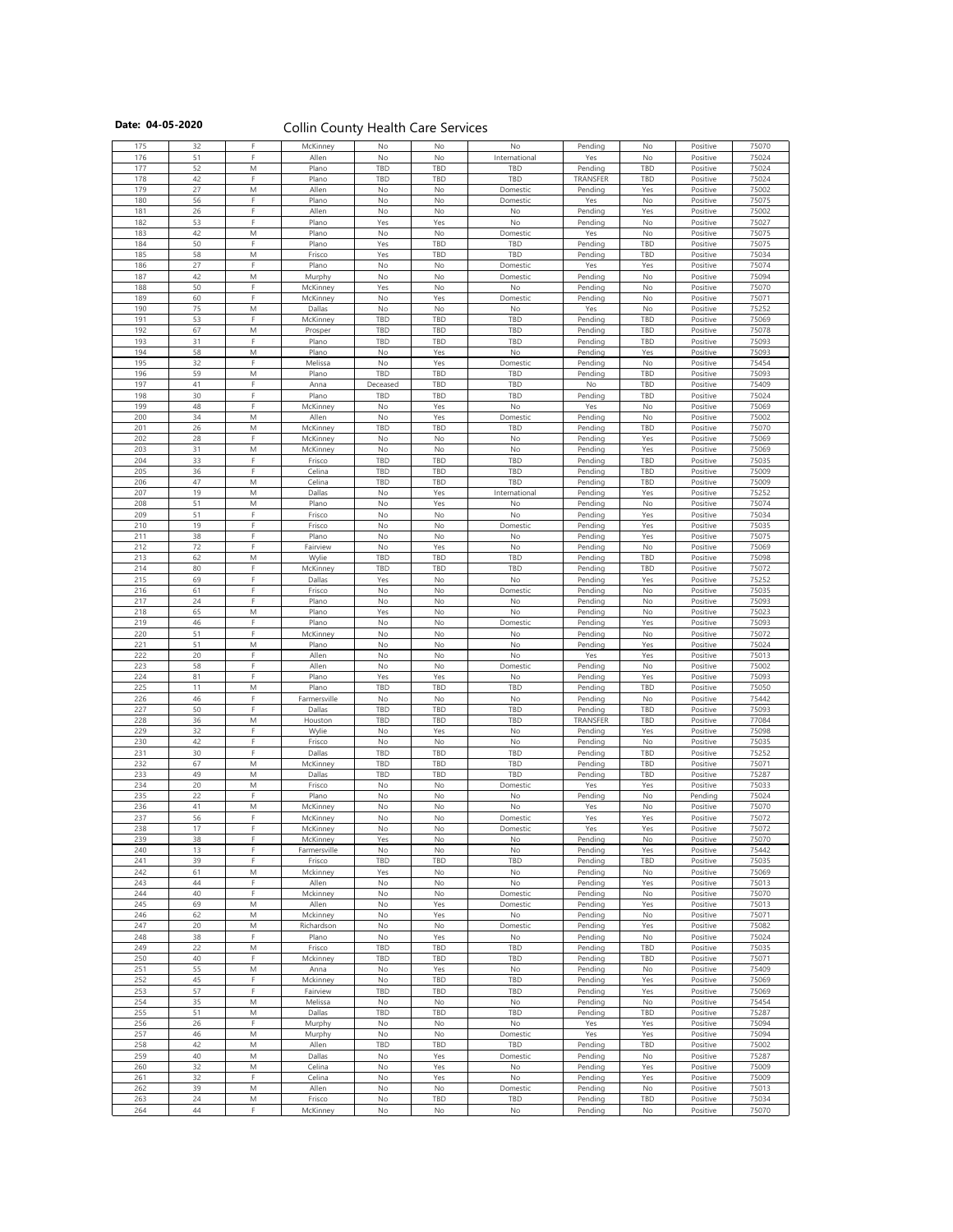## Date: 04-05-2020 **Collin County Health Care Services**

| 175        | 32       |                                         | McKinney           | No         | No         | No            | Pending            | No               | Positive             | 75070          |
|------------|----------|-----------------------------------------|--------------------|------------|------------|---------------|--------------------|------------------|----------------------|----------------|
| 176        | 51       | E.                                      | Allen              | <b>No</b>  | No         | International | Yes                | No               | Positive             | 75024          |
| 177        | 52       | M                                       | Plano              | TBD        | TBD        | TBD           | Pending            | <b>TBD</b>       | Positive             | 75024          |
| 178        | 42       |                                         | Plano              | <b>TBD</b> | TBD        | TBD           | <b>TRANSFER</b>    | <b>TBD</b>       | Positive             | 75024          |
| 179        | 27       | M                                       |                    |            | No         |               |                    |                  |                      |                |
|            |          |                                         | Allen              | <b>No</b>  |            | Domestic      | Pending            | Yes              | Positive             | 75002          |
| 180        | 56       |                                         | Plano              | No         | No         | Domestic      | Yes                | No               | Positive             | 75075          |
| 181        | 26       |                                         | Allen              | No         | No         | No            | Pending            | Yes              | Positive             | 75002          |
| 182        | 53       | E.                                      | Plano              | Yes        | Yes        | No            | Pending            | No               | Positive             | 75027          |
| 183        | 42       | M                                       | Plano              | No         | No         | Domestic      | Yes                | No               | Positive             | 75075          |
| 184        | 50       |                                         | Plano              | Yes        | TBD        | <b>TBD</b>    | Pending            | <b>TBD</b>       | Positive             | 75075          |
| 185        | 58       | M                                       | Frisco             | Yes        | <b>TBD</b> | TBD           | Pending            | <b>TBD</b>       | Positive             | 75034          |
|            |          | F.                                      |                    |            |            |               |                    |                  |                      |                |
| 186        | 27       |                                         | Plano              | No         | No         | Domestic      | Yes                | Yes              | Positive             | 75074          |
| 187        | 42       | M                                       | Murphy             | No         | No         | Domestic      | Pending            | No               | Positive             | 75094          |
| 188        | 50       | F.                                      | McKinney           | Yes        | No         | No            | Pending            | No               | Positive             | 75070          |
| 189        | 60       | E.                                      | McKinney           | No         | Yes        | Domestic      | Pending            | No               | Positive             | 75071          |
| 190        | 75       | M                                       | Dallas             | No         | No         | No            | Yes                | No               | Positive             | 75252          |
| 191        | 53       | F.                                      | McKinney           | TBD        | <b>TBD</b> | TBD           | Pending            | <b>TBD</b>       | Positive             | 75069          |
|            |          |                                         |                    |            |            |               |                    |                  |                      |                |
| 192        | 67       | M                                       | Prosper            | TBD        | TBD        | TBD           | Pending            | <b>TBD</b>       | Positive             | 75078          |
| 193        | 31       | E.                                      | Plano              | TBD        | <b>TBD</b> | TBD           | Pending            | <b>TBD</b>       | Positive             | 75093          |
| 194        | 58       | M                                       | Plano              | No         | Yes        | No            | Pending            | Yes              | Positive             | 75093          |
| 195        | 32       |                                         | Melissa            | No         | Yes        | Domestic      | Pending            | No               | Positive             | 75454          |
| 196        | 59       | M                                       | Plano              | TBD        | TBD        | TBD           | Pending            | <b>TBD</b>       | Positive             | 75093          |
| 197        | 41       | F.                                      | Anna               | Deceased   | TBD        | TBD           | No                 | <b>TBD</b>       | Positive             | 75409          |
|            | 30       | E.                                      |                    | TBD        | TBD        |               |                    | <b>TBD</b>       |                      |                |
| 198        |          | D.                                      | Plano              |            |            | <b>TBD</b>    | Pending            |                  | Positive             | 75024          |
| 199        | 48       |                                         | McKinney           | No         | Yes        | No            | Yes                | No               | Positive             | 75069          |
| 200        | 34       | M                                       | Allen              | No         | Yes        | Domestic      | Pending            | No               | Positive             | 75002          |
| 201        | 26       | M                                       | McKinney           | TBD        | TBD        | TBD           | Pending            | <b>TBD</b>       | Positive             | 75070          |
| 202        | 28       |                                         | McKinney           | No         | No         | No            | Pending            | Yes              | Positive             | 75069          |
| 203        | 31       | M                                       | McKinney           | No         | No         | No            | Pending            | Yes              | Positive             | 75069          |
| 204        | 33       |                                         | Frisco             | TBD        | TBD        | TBD           | Pending            | TBD              |                      | 75035          |
|            |          | F                                       |                    |            |            |               |                    |                  | Positive             |                |
| 205        | 36       |                                         | Celina             | TBD        | TBD        | <b>TBD</b>    | Pending            | <b>TBD</b>       | Positive             | 75009          |
| 206        | 47       | M                                       | Celina             | <b>TBD</b> | <b>TBD</b> | TBD           | Pending            | <b>TBD</b>       | Positive             | 75009          |
| 207        | 19       | M                                       | Dallas             | No         | Yes        | International | Pending            | Yes              | Positive             | 75252          |
| 208        | 51       | M                                       | Plano              | No         | Yes        | No            | Pending            | No               | Positive             | 75074          |
| 209        | 51       | Е                                       | Frisco             | No         | No         | No            | Pending            | Yes              | Positive             | 75034          |
| 210        | 19       | E.                                      |                    |            |            |               |                    |                  |                      |                |
|            |          | Е                                       | Frisco             | No         | No         | Domestic      | Pending            | Yes              | Positive             | 75035          |
| 211        | 38       |                                         | Plano              | No         | No         | No            | Pending            | Yes              | Positive             | 75075          |
| 212        | 72       | F.                                      | Fairview           | No         | Yes        | No            | Pending            | No               | Positive             | 75069          |
| 213        | 62       | M                                       | Wylie              | TBD        | TBD        | TBD           | Pending            | TBD              | Positive             | 75098          |
| 214        | 80       |                                         | McKinney           | TBD        | TBD        | TBD           | Pending            | <b>TBD</b>       | Positive             | 75072          |
| 215        | 69       | E.                                      | Dallas             | Yes        | No         | No            | Pending            | Yes              | Positive             | 75252          |
|            | 61       |                                         | Frisco             |            | No         |               |                    |                  |                      |                |
| 216        |          |                                         |                    | <b>No</b>  |            | Domestic      | Pending            | No               | Positive             | 75035          |
| 217        | 24       | E.                                      | Plano              | <b>No</b>  | No         | No            | Pending            | No               | Positive             | 75093          |
| 218        | 65       | M                                       | Plano              | Yes        | No         | No            | Pending            | No               | Positive             | 75023          |
| 219        | 46       |                                         | Plano              | No         | No         | Domestic      | Pending            | Yes              | Positive             | 75093          |
| 220        | 51       | п                                       | McKinney           | No         | No         | No            | Pending            | No               | Positive             | 75072          |
| 221        | 51       | M                                       | Plano              | No         | No         | No            | Pending            | Yes              | Positive             | 75024          |
| 222        | 20       | F.                                      | Allen              | No         | No         | No            | Yes                | Yes              | Positive             | 75013          |
|            | 58       | Е                                       |                    |            |            |               |                    |                  |                      |                |
| 223        |          |                                         | Allen              | No         | No         | Domestic      | Pending            | No               | Positive             | 75002          |
| 224        | 81       | E.                                      | Plano              | Yes        | Yes        | No            | Pending            | Yes              | Positive             | 75093          |
| 225        | 11       | M                                       | Plano              | TBD        | <b>TBD</b> | TBD           | Pending            | <b>TBD</b>       | Positive             | 75050          |
| 226        | 46       |                                         | Farmersville       | No         | No         | No            | Pending            | No               | Positive             | 75442          |
| 227        | 50       | E.                                      | Dallas             | TBD        | TBD        | TBD           | Pending            | TBD              | Positive             | 75093          |
| 228        | 36       | M                                       | Houston            | TBD        | TBD        | TBD           | <b>TRANSFER</b>    | <b>TBD</b>       | Positive             | 77084          |
| 229        | 32       | E.                                      | Wylie              | No         | Yes        | No            | Pending            | Yes              | Positive             | 75098          |
|            |          | E.                                      |                    |            |            |               |                    |                  |                      |                |
| 230        | 42       |                                         | Frisco             | No         | No         | No            | Pending            | No               | Positive             | 75035          |
| 231        | 30       |                                         | Dallas             | TBD        | TBD        | TBD           | Pending            | TBD              | Positive             | 75252          |
| 232        | 67       | M                                       | McKinney           | TBD        | TBD        | TBD           | Pending            | <b>TBD</b>       | Positive             | 75071          |
| 233        | 49       | M                                       | Dallas             | TBD        | TBD        | TBD           | Pending            | <b>TBD</b>       | Positive             | 75287          |
| 234        | 20       | ${\sf M}$                               | Frisco             | No         | No         | Domestic      | Yes                | Yes              | Positive             | 75033          |
| 235        | 22       |                                         | Plano              | No         | No         | No            | Pending            | No               | Pending              | 75024          |
| 236        | 41       | M                                       | McKinney           | No         | No         | No            | Yes                | No               | Positive             | 75070          |
| 237        | 56       |                                         |                    | <b>No</b>  | No         |               | Yes                |                  |                      |                |
|            |          |                                         | McKinney           |            |            | Domestic      |                    | Yes              | Positive             | 75072          |
| 238        | 17       |                                         | McKinney           | No         | No         | Domestic      | Yes                | Yes              | Positive             | 75072          |
| 239        | 38       | E.                                      | McKinney           | Yes        | No         | No            | Pending            | <b>No</b>        | Positive             | 75070          |
| 240        | 13       | E.                                      | Farmersville       | No         | No         | No            | Pending            | Yes              | Positive             | 75442          |
| 241        | 39       | E.                                      | Frisco             | TBD        | TBD        | TBD           | Pending            | <b>TBD</b>       | Positive             | 75035          |
| 242        | 61       | M                                       | Mckinney           | Yes        | No         | No            | Pending            | No               | Positive             | 75069          |
| 243        | 44       | Е                                       | Allen              | No         | No         | No            | Pending            | Yes              | Positive             | 75013          |
|            | 40       | E.                                      |                    |            |            |               |                    |                  |                      | 75070          |
| 244        |          |                                         | Mckinney           | No         | No         | Domestic      | Pending            | No               | Positive             |                |
| 245        | 69       | $\mathsf{M}% _{H}=\mathsf{M}_{H}$       | Allen              | No         | Yes        | Domestic      | Pending            | Yes              | Positive             | 75013          |
| 246        | 62       | $\mathsf{M}% _{H}=\mathsf{M}_{H}$       | Mckinney           | <b>No</b>  | Yes        | No            | Pending            | <b>No</b>        | Positive             | 75071          |
| 247        | 20       | M                                       | Richardson         | No         | No         | Domestic      | Pending            | Yes              | Positive             | 75082          |
| 248        | 38       | F.                                      | Plano              | No         | Yes        | No            | Pending            | No               | Positive             | 75024          |
| 249        | 22       | M                                       | Frisco             | <b>TBD</b> | TBD        | TBD           | Pending            | <b>TBD</b>       | Positive             | 75035          |
| 250        | 40       |                                         | Mckinney           | TBD        | TBD        | TBD           | Pending            | <b>TBD</b>       | Positive             | 75071          |
|            |          |                                         |                    |            |            |               |                    |                  |                      |                |
| 251        | 55       | M                                       | Anna               | <b>No</b>  | Yes        | No            | Pending            | No               | Positive             | 75409          |
| 252        | 45       | E.                                      | Mckinney           | No         | TBD        | TBD           | Pending            | Yes              | Positive             | 75069          |
| 253        | 57       | E.                                      | Fairview           | TBD        | TBD        | <b>TBD</b>    | Pending            | Yes              | Positive             | 75069          |
| 254        | 35       | M                                       | Melissa            | No         | No         | No            | Pending            | No               | Positive             | 75454          |
| 255        | 51       | M                                       | Dallas             | TBD        | TBD        | TBD           | Pending            | <b>TBD</b>       | Positive             | 75287          |
| 256        | 26       |                                         | Murphy             | No         | No         | No            | Yes                | Yes              | Positive             | 75094          |
| 257        | 46       | M                                       |                    | No         | No         | Domestic      | Yes                | Yes              | Positive             | 75094          |
|            |          |                                         | Murphy             |            |            |               |                    |                  |                      |                |
| 258        | 42       | M                                       | Allen              | TBD        | TBD        | TBD           | Pending            | <b>TBD</b>       | Positive             | 75002          |
| 259        | 40       | M                                       | Dallas             | No         | Yes        | Domestic      | Pending            | No               | Positive             | 75287          |
| 260        | 32       | M                                       | Celina             | No         | Yes        | No            | Pending            | Yes              | Positive             | 75009          |
| 261        | 32       | E.                                      | Celina             | No         | Yes        | No            | Pending            | Yes              | Positive             | 75009          |
| 262        |          |                                         |                    | No         |            |               |                    |                  |                      |                |
|            | 39       |                                         |                    |            |            |               |                    |                  |                      |                |
|            |          | M                                       | Allen              |            | No         | Domestic      | Pending            | No               | Positive             | 75013          |
| 263<br>264 | 24<br>44 | $\mathsf{M}% _{H}=\mathsf{M}_{H}$<br>F. | Frisco<br>McKinney | No<br>No   | TBD<br>No  | TBD<br>No     | Pending<br>Pending | <b>TBD</b><br>No | Positive<br>Positive | 75034<br>75070 |